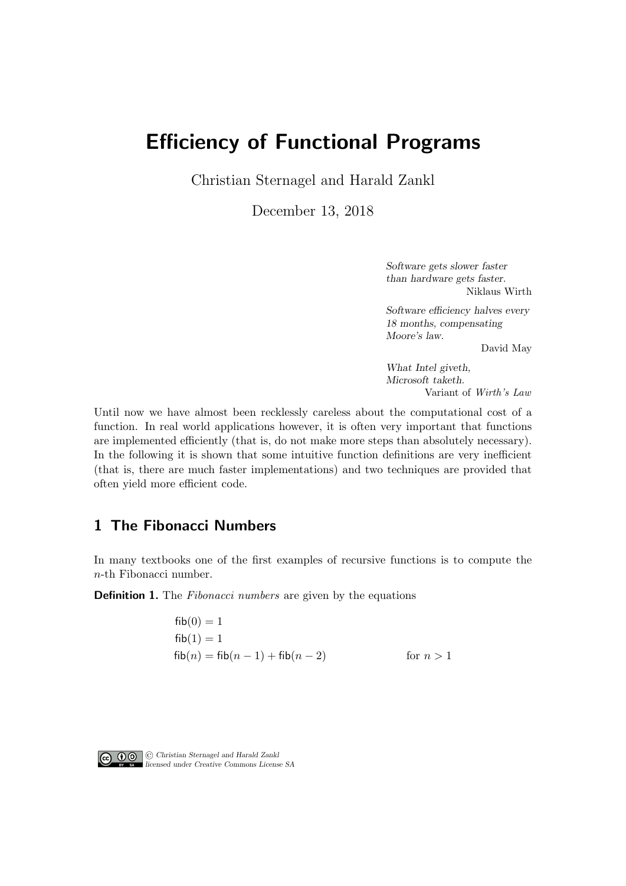# Efficiency of Functional Programs

Christian Sternagel and Harald Zankl

December 13, 2018

Software gets slower faster than hardware gets faster. Niklaus Wirth

Software efficiency halves every 18 months, compensating Moore's law.

David May

What Intel giveth, Microsoft taketh. Variant of Wirth's Law

Until now we have almost been recklessly careless about the computational cost of a function. In real world applications however, it is often very important that functions are implemented efficiently (that is, do not make more steps than absolutely necessary). In the following it is shown that some intuitive function definitions are very inefficient (that is, there are much faster implementations) and two techniques are provided that often yield more efficient code.

## 1 The Fibonacci Numbers

In many textbooks one of the first examples of recursive functions is to compute the n-th Fibonacci number.

**Definition 1.** The *Fibonacci numbers* are given by the equations

 $fib(0) = 1$  $fib(1) = 1$  $fib(n) = fib(n-1) + fib(n-2)$  for  $n > 1$ 



© Christian Sternagel and Harald Zankl licensed under Creative Commons License SA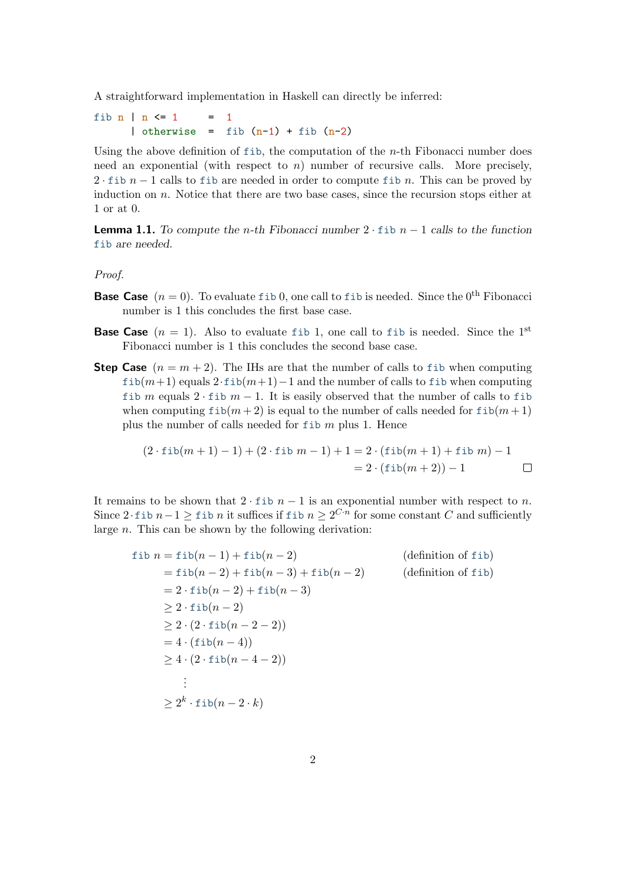A straightforward implementation in Haskell can directly be inferred:

fib  $n \mid n \leq 1 = 1$ | otherwise = fib  $(n-1)$  + fib  $(n-2)$ 

Using the above definition of fib, the computation of the  $n$ -th Fibonacci number does need an exponential (with respect to  $n$ ) number of recursive calls. More precisely, 2 · fib  $n-1$  calls to fib are needed in order to compute fib n. This can be proved by induction on  $n$ . Notice that there are two base cases, since the recursion stops either at 1 or at 0.

**Lemma 1.1.** To compute the n-th Fibonacci number  $2 \cdot$  fib  $n - 1$  calls to the function fib are needed.

#### Proof.

- **Base Case**  $(n = 0)$ . To evaluate fib 0, one call to fib is needed. Since the 0<sup>th</sup> Fibonacci number is 1 this concludes the first base case.
- **Base Case**  $(n = 1)$ . Also to evaluate fib 1, one call to fib is needed. Since the 1<sup>st</sup> Fibonacci number is 1 this concludes the second base case.
- **Step Case**  $(n = m + 2)$ . The IHs are that the number of calls to fib when computing  $fib(m+1)$  equals  $2 \cdot fib(m+1)-1$  and the number of calls to fib when computing fib m equals 2 · fib  $m-1$ . It is easily observed that the number of calls to fib when computing  $fib(m+2)$  is equal to the number of calls needed for  $fib(m+1)$ plus the number of calls needed for  $f$ ib m plus 1. Hence

$$
(2 \cdot \text{fib}(m+1) - 1) + (2 \cdot \text{fib } m - 1) + 1 = 2 \cdot (\text{fib}(m+1) + \text{fib } m) - 1
$$
  
= 2 \cdot (\text{fib}(m+2)) - 1

It remains to be shown that  $2 \cdot$  fib  $n - 1$  is an exponential number with respect to n. Since 2 $\cdot$  fib  $n-1 \geq$  fib n it suffices if fib  $n \geq 2^{C \cdot n}$  for some constant C and sufficiently large n. This can be shown by the following derivation:

$$
fib n = fib(n - 1) + fib(n - 2)
$$
 (definition of fib)  
\n
$$
= fib(n - 2) + fib(n - 3) + fib(n - 2)
$$
 (definition of fib)  
\n
$$
= 2 \cdot fib(n - 2) + fib(n - 3)
$$
  
\n
$$
\ge 2 \cdot fib(n - 2)
$$
  
\n
$$
\ge 2 \cdot (2 \cdot fib(n - 2 - 2))
$$
  
\n
$$
= 4 \cdot (fib(n - 4))
$$
  
\n
$$
\ge 4 \cdot (2 \cdot fib(n - 4 - 2))
$$
  
\n
$$
\ge 2^{k} \cdot fib(n - 2 \cdot k)
$$
 (definition of fib)  
\n
$$
(definition of fib)
$$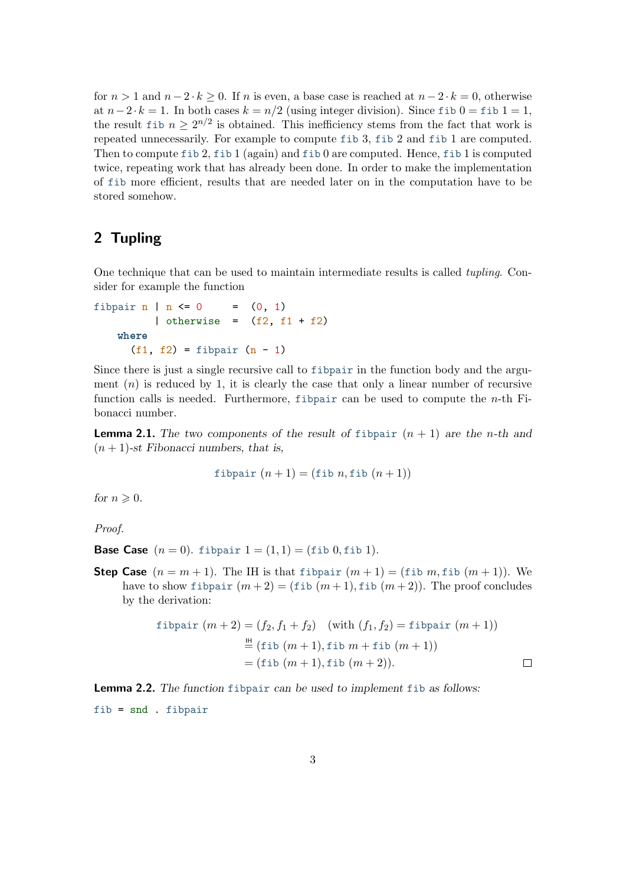for  $n > 1$  and  $n - 2 \cdot k \ge 0$ . If n is even, a base case is reached at  $n - 2 \cdot k = 0$ , otherwise at  $n-2 \cdot k = 1$ . In both cases  $k = n/2$  (using integer division). Since fib  $0 =$  fib  $1 = 1$ , the result fib  $n \geq 2^{n/2}$  is obtained. This inefficiency stems from the fact that work is repeated unnecessarily. For example to compute fib 3, fib 2 and fib 1 are computed. Then to compute fib 2, fib 1 (again) and fib 0 are computed. Hence, fib 1 is computed twice, repeating work that has already been done. In order to make the implementation of fib more efficient, results that are needed later on in the computation have to be stored somehow.

## 2 Tupling

One technique that can be used to maintain intermediate results is called tupling. Consider for example the function

fibpair n | n <= 0 = (0, 1) | otherwise = (f2, f1 + f2) where (f1, f2) = fibpair (n - 1)

Since there is just a single recursive call to fibpair in the function body and the argument  $(n)$  is reduced by 1, it is clearly the case that only a linear number of recursive function calls is needed. Furthermore, fibpair can be used to compute the  $n$ -th Fibonacci number.

<span id="page-2-0"></span>**Lemma 2.1.** The two components of the result of fibpair  $(n + 1)$  are the n-th and  $(n + 1)$ -st Fibonacci numbers, that is,

$$
fibpair (n+1) = (fib n, fib (n+1))
$$

for  $n \geqslant 0$ .

Proof.

**Base Case**  $(n = 0)$ . fibpair  $1 = (1, 1) = ($ fib 0, fib 1).

**Step Case**  $(n = m + 1)$ . The IH is that fibpair  $(m + 1) =$  (fib m, fib  $(m + 1)$ ). We have to show fibpair  $(m+2) = ($ fib  $(m+1),$  fib  $(m+2)$ ). The proof concludes by the derivation:

$$
\begin{aligned} \text{fibpair } (m+2) &= (f_2, f_1 + f_2) \quad \text{(with } (f_1, f_2) = \text{fibpair } (m+1)) \\ & \stackrel{\text{III}}{=} (\text{fib } (m+1), \text{fib } m + \text{fib } (m+1)) \\ &= (\text{fib } (m+1), \text{fib } (m+2)). \end{aligned} \qquad \qquad \Box
$$

Lemma 2.2. The function fibpair can be used to implement fib as follows:

fib = snd . fibpair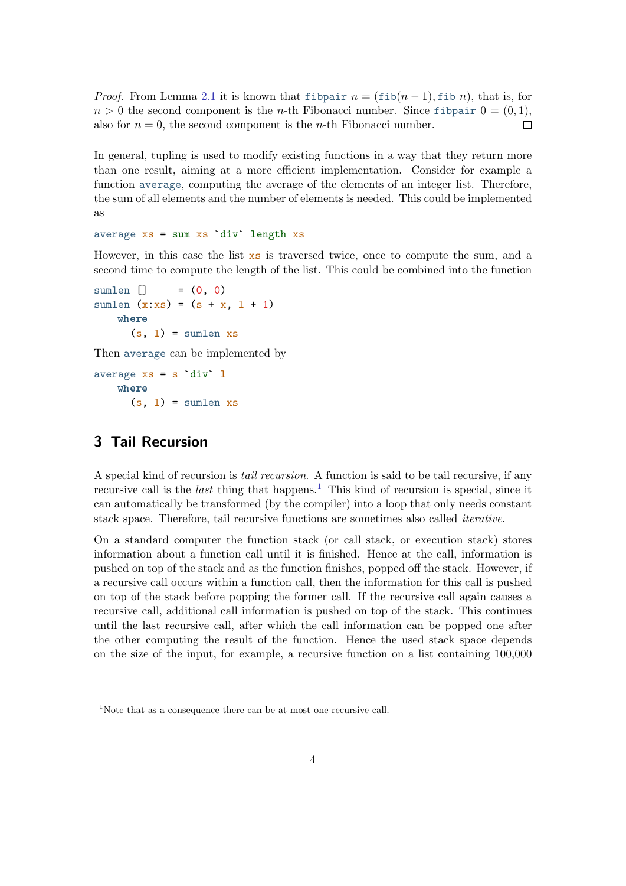*Proof.* From Lemma [2.1](#page-2-0) it is known that fibpair  $n = (\text{fib}(n-1), \text{fib } n)$ , that is, for  $n > 0$  the second component is the *n*-th Fibonacci number. Since fibpair  $0 = (0, 1)$ , also for  $n = 0$ , the second component is the *n*-th Fibonacci number.  $\Box$ 

In general, tupling is used to modify existing functions in a way that they return more than one result, aiming at a more efficient implementation. Consider for example a function average, computing the average of the elements of an integer list. Therefore, the sum of all elements and the number of elements is needed. This could be implemented as

#### average  $xs = sum xs'div' length xs$

However, in this case the list xs is traversed twice, once to compute the sum, and a second time to compute the length of the list. This could be combined into the function

```
sumlen [] = (0, 0)
sumlen (x:xs) = (s + x, 1 + 1)where
     (s, 1) = sumlen xs
```
Then average can be implemented by

average  $xs = s$  div  $l$ where  $(s, 1)$  = sumlen xs

#### 3 Tail Recursion

A special kind of recursion is tail recursion. A function is said to be tail recursive, if any recursive call is the *last* thing that happens.<sup>[1](#page-3-0)</sup> This kind of recursion is special, since it can automatically be transformed (by the compiler) into a loop that only needs constant stack space. Therefore, tail recursive functions are sometimes also called iterative.

On a standard computer the function stack (or call stack, or execution stack) stores information about a function call until it is finished. Hence at the call, information is pushed on top of the stack and as the function finishes, popped off the stack. However, if a recursive call occurs within a function call, then the information for this call is pushed on top of the stack before popping the former call. If the recursive call again causes a recursive call, additional call information is pushed on top of the stack. This continues until the last recursive call, after which the call information can be popped one after the other computing the result of the function. Hence the used stack space depends on the size of the input, for example, a recursive function on a list containing 100,000

<span id="page-3-0"></span><sup>&</sup>lt;sup>1</sup>Note that as a consequence there can be at most one recursive call.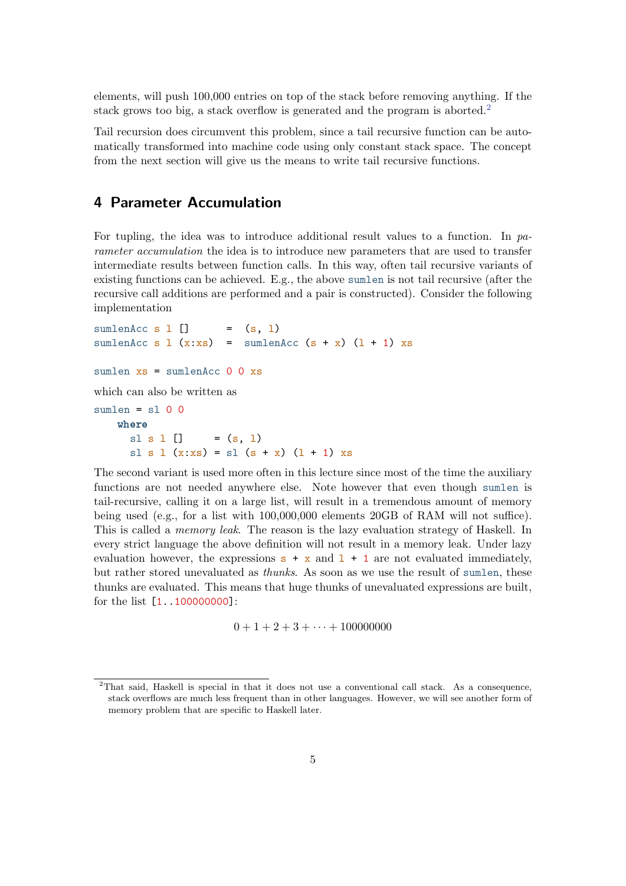elements, will push 100,000 entries on top of the stack before removing anything. If the stack grows too big, a stack overflow is generated and the program is aborted.<sup>[2](#page-4-0)</sup>

Tail recursion does circumvent this problem, since a tail recursive function can be automatically transformed into machine code using only constant stack space. The concept from the next section will give us the means to write tail recursive functions.

### 4 Parameter Accumulation

For tupling, the idea was to introduce additional result values to a function. In parameter accumulation the idea is to introduce new parameters that are used to transfer intermediate results between function calls. In this way, often tail recursive variants of existing functions can be achieved. E.g., the above sumlen is not tail recursive (after the recursive call additions are performed and a pair is constructed). Consider the following implementation

```
sumlenAcc s l [] = (s, 1)sumlenAcc s 1 (x:xs) = sumlenAcc (s + x) (1 + 1) xssumlen xs = sumlenAcc 0 0 xswhich can also be written as
sumlen = s100where
     sl s 1 [] = (s, 1)sl s l (x:xs) = sl (s + x) (1 + 1) xs
```
The second variant is used more often in this lecture since most of the time the auxiliary functions are not needed anywhere else. Note however that even though sumlen is tail-recursive, calling it on a large list, will result in a tremendous amount of memory being used (e.g., for a list with 100,000,000 elements 20GB of RAM will not suffice). This is called a *memory leak*. The reason is the lazy evaluation strategy of Haskell. In every strict language the above definition will not result in a memory leak. Under lazy evaluation however, the expressions  $s + x$  and  $1 + 1$  are not evaluated immediately, but rather stored unevaluated as thunks. As soon as we use the result of sumlen, these thunks are evaluated. This means that huge thunks of unevaluated expressions are built, for the list [1..100000000]:

$$
0 + 1 + 2 + 3 + \cdots + 100000000
$$

<span id="page-4-0"></span><sup>2</sup>That said, Haskell is special in that it does not use a conventional call stack. As a consequence, stack overflows are much less frequent than in other languages. However, we will see another form of memory problem that are specific to Haskell later.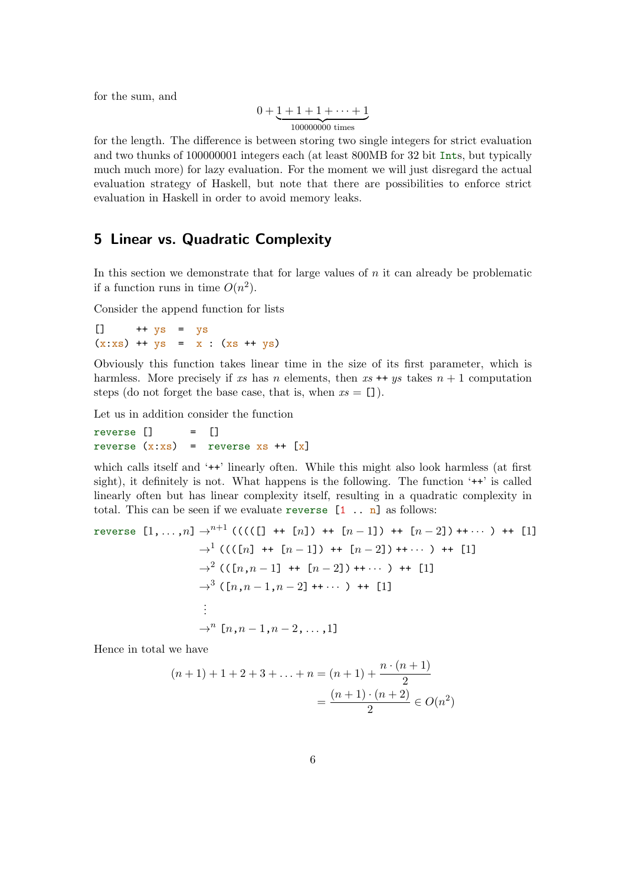for the sum, and

$$
0+\underbrace{1+1+1+\cdots+1}_{100000000 \text{ times}}
$$

for the length. The difference is between storing two single integers for strict evaluation and two thunks of 100000001 integers each (at least 800MB for 32 bit Ints, but typically much much more) for lazy evaluation. For the moment we will just disregard the actual evaluation strategy of Haskell, but note that there are possibilities to enforce strict evaluation in Haskell in order to avoid memory leaks.

#### 5 Linear vs. Quadratic Complexity

In this section we demonstrate that for large values of  $n$  it can already be problematic if a function runs in time  $O(n^2)$ .

Consider the append function for lists

 $\begin{bmatrix} 1 & ++ys & = & ys \end{bmatrix}$  $(x:xs)$  ++  $ys = x : (xs + ys)$ 

Obviously this function takes linear time in the size of its first parameter, which is harmless. More precisely if xs has n elements, then xs ++ ys takes  $n + 1$  computation steps (do not forget the base case, that is, when  $xs = []$ ).

Let us in addition consider the function

$$
\begin{array}{rcl}\n\text{reverse} & \text{[]} & = & \text{[]} \\
\text{reverse} & \text{x:xs} & = & \text{reverse} & \text{xs} + \text{ [x]} \\
\end{array}
$$

which calls itself and '<sup>++'</sup> linearly often. While this might also look harmless (at first sight), it definitely is not. What happens is the following. The function '++' is called linearly often but has linear complexity itself, resulting in a quadratic complexity in total. This can be seen if we evaluate reverse  $[1 \dots n]$  as follows:

reverse 
$$
[1, ..., n] \rightarrow^{n+1} (((([] + [n]) + [n-1]) + [n-2]) + \cdots) + [1]
$$
  
\n $\rightarrow^1 ((([n] + [n-1]) + [n-2]) + \cdots) + [1]$   
\n $\rightarrow^2 (([n, n-1] + [n-2]) + \cdots) + [1]$   
\n $\rightarrow^3 ([n, n-1, n-2] + \cdots) + [1]$   
\n $\vdots$   
\n $\rightarrow^n [n, n-1, n-2, \ldots, 1]$ 

Hence in total we have

$$
(n+1) + 1 + 2 + 3 + \dots + n = (n+1) + \frac{n \cdot (n+1)}{2}
$$

$$
= \frac{(n+1) \cdot (n+2)}{2} \in O(n^2)
$$